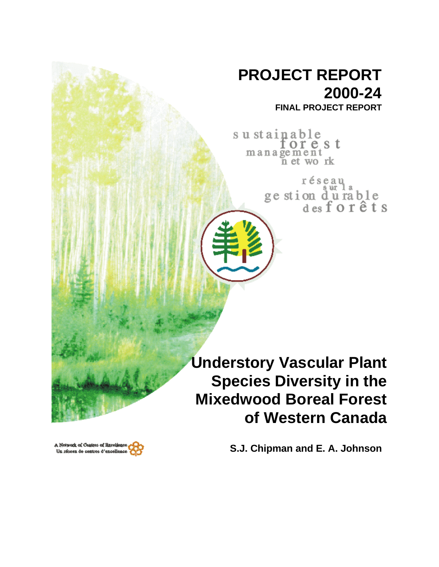# **PROJECT REPORT 2000-24**

**FINAL PROJECT REPORT**

su stainable orest management<br>net work

> réseau ge stion durable<br>desforêts

**Understory Vascular Plant Species Diversity in the Mixedwood Boreal Forest of Western Canada**

**S.J. Chipman and E. A. Johnson**

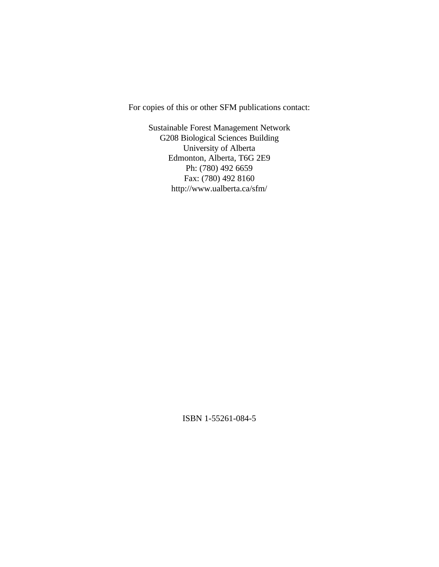For copies of this or other SFM publications contact:

Sustainable Forest Management Network G208 Biological Sciences Building University of Alberta Edmonton, Alberta, T6G 2E9 Ph: (780) 492 6659 Fax: (780) 492 8160 http://www.ualberta.ca/sfm/

ISBN 1-55261-084-5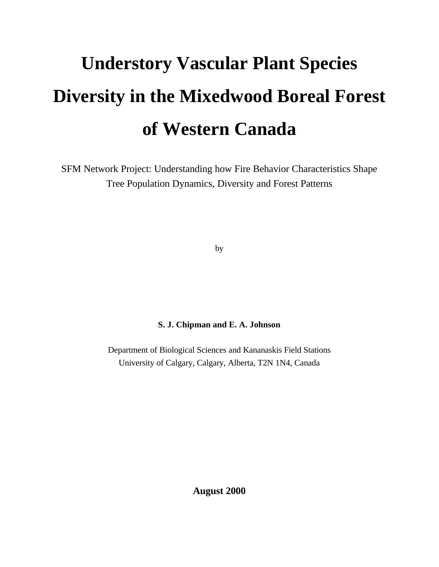# **Understory Vascular Plant Species Diversity in the Mixedwood Boreal Forest of Western Canada**

SFM Network Project: Understanding how Fire Behavior Characteristics Shape Tree Population Dynamics, Diversity and Forest Patterns

by

# **S. J. Chipman and E. A. Johnson**

Department of Biological Sciences and Kananaskis Field Stations University of Calgary, Calgary, Alberta, T2N 1N4, Canada

**August 2000**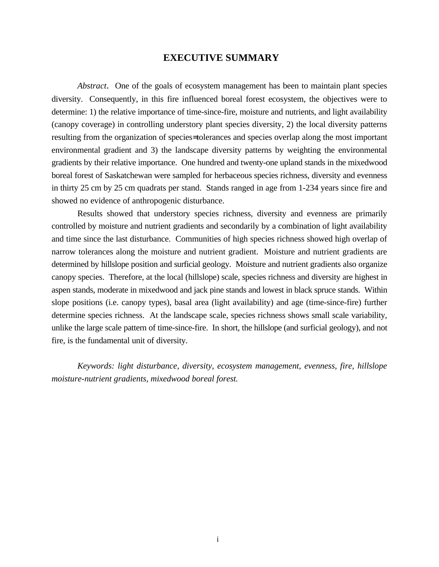# **EXECUTIVE SUMMARY**

*Abstract*. One of the goals of ecosystem management has been to maintain plant species diversity. Consequently, in this fire influenced boreal forest ecosystem, the objectives were to determine: 1) the relative importance of time-since-fire, moisture and nutrients, and light availability (canopy coverage) in controlling understory plant species diversity, 2) the local diversity patterns resulting from the organization of species= tolerances and species overlap along the most important environmental gradient and 3) the landscape diversity patterns by weighting the environmental gradients by their relative importance. One hundred and twenty-one upland stands in the mixedwood boreal forest of Saskatchewan were sampled for herbaceous species richness, diversity and evenness in thirty 25 cm by 25 cm quadrats per stand. Stands ranged in age from 1-234 years since fire and showed no evidence of anthropogenic disturbance.

Results showed that understory species richness, diversity and evenness are primarily controlled by moisture and nutrient gradients and secondarily by a combination of light availability and time since the last disturbance. Communities of high species richness showed high overlap of narrow tolerances along the moisture and nutrient gradient. Moisture and nutrient gradients are determined by hillslope position and surficial geology. Moisture and nutrient gradients also organize canopy species. Therefore, at the local (hillslope) scale, species richness and diversity are highest in aspen stands, moderate in mixedwood and jack pine stands and lowest in black spruce stands. Within slope positions (i.e. canopy types), basal area (light availability) and age (time-since-fire) further determine species richness. At the landscape scale, species richness shows small scale variability, unlike the large scale pattern of time-since-fire. In short, the hillslope (and surficial geology), and not fire, is the fundamental unit of diversity.

*Keywords: light disturbance, diversity, ecosystem management, evenness, fire, hillslope moisture-nutrient gradients, mixedwood boreal forest.*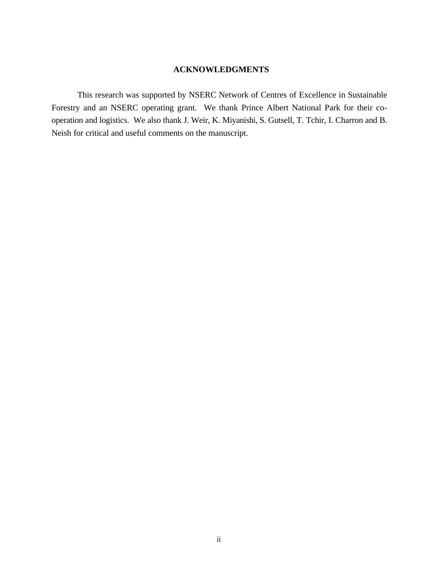### **ACKNOWLEDGMENTS**

This research was supported by NSERC Network of Centres of Excellence in Sustainable Forestry and an NSERC operating grant. We thank Prince Albert National Park for their cooperation and logistics. We also thank J. Weir, K. Miyanishi, S. Gutsell, T. Tchir, I. Charron and B. Neish for critical and useful comments on the manuscript.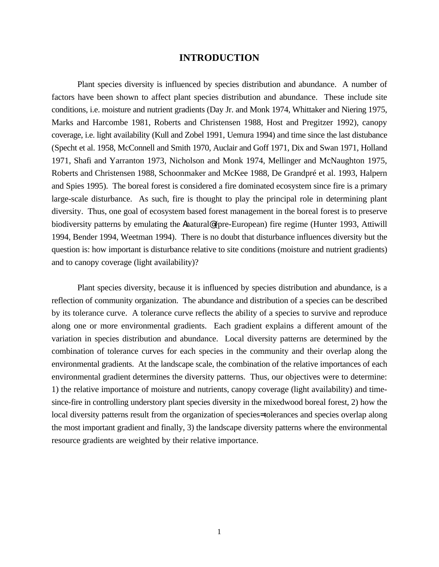# **INTRODUCTION**

Plant species diversity is influenced by species distribution and abundance. A number of factors have been shown to affect plant species distribution and abundance. These include site conditions, i.e. moisture and nutrient gradients (Day Jr. and Monk 1974, Whittaker and Niering 1975, Marks and Harcombe 1981, Roberts and Christensen 1988, Host and Pregitzer 1992), canopy coverage, i.e. light availability (Kull and Zobel 1991, Uemura 1994) and time since the last distubance (Specht et al. 1958, McConnell and Smith 1970, Auclair and Goff 1971, Dix and Swan 1971, Holland 1971, Shafi and Yarranton 1973, Nicholson and Monk 1974, Mellinger and McNaughton 1975, Roberts and Christensen 1988, Schoonmaker and McKee 1988, De Grandpré et al. 1993, Halpern and Spies 1995). The boreal forest is considered a fire dominated ecosystem since fire is a primary large-scale disturbance. As such, fire is thought to play the principal role in determining plant diversity. Thus, one goal of ecosystem based forest management in the boreal forest is to preserve biodiversity patterns by emulating the Anatural@ (pre-European) fire regime (Hunter 1993, Attiwill 1994, Bender 1994, Weetman 1994). There is no doubt that disturbance influences diversity but the question is: how important is disturbance relative to site conditions (moisture and nutrient gradients) and to canopy coverage (light availability)?

Plant species diversity, because it is influenced by species distribution and abundance, is a reflection of community organization. The abundance and distribution of a species can be described by its tolerance curve. A tolerance curve reflects the ability of a species to survive and reproduce along one or more environmental gradients. Each gradient explains a different amount of the variation in species distribution and abundance. Local diversity patterns are determined by the combination of tolerance curves for each species in the community and their overlap along the environmental gradients. At the landscape scale, the combination of the relative importances of each environmental gradient determines the diversity patterns. Thus, our objectives were to determine: 1) the relative importance of moisture and nutrients, canopy coverage (light availability) and timesince-fire in controlling understory plant species diversity in the mixedwood boreal forest, 2) how the local diversity patterns result from the organization of species= tolerances and species overlap along the most important gradient and finally, 3) the landscape diversity patterns where the environmental resource gradients are weighted by their relative importance.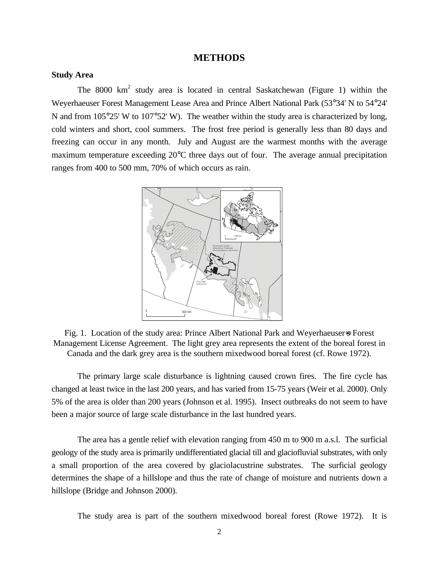### **METHODS**

#### **Study Area**

The  $8000 \text{ km}^2$  study area is located in central Saskatchewan (Figure 1) within the Weyerhaeuser Forest Management Lease Area and Prince Albert National Park (53°34' N to 54°24' N and from 105°25' W to 107°52' W). The weather within the study area is characterized by long, cold winters and short, cool summers. The frost free period is generally less than 80 days and freezing can occur in any month. July and August are the warmest months with the average maximum temperature exceeding 20°C three days out of four. The average annual precipitation ranges from 400 to 500 mm, 70% of which occurs as rain.



Fig. 1. Location of the study area: Prince Albert National Park and Weyerhaeusers Forest Management License Agreement. The light grey area represents the extent of the boreal forest in Canada and the dark grey area is the southern mixedwood boreal forest (cf. Rowe 1972).

The primary large scale disturbance is lightning caused crown fires. The fire cycle has changed at least twice in the last 200 years, and has varied from 15-75 years (Weir et al. 2000). Only 5% of the area is older than 200 years (Johnson et al. 1995). Insect outbreaks do not seem to have been a major source of large scale disturbance in the last hundred years.

The area has a gentle relief with elevation ranging from 450 m to 900 m a.s.l. The surficial geology of the study area is primarily undifferentiated glacial till and glaciofluvial substrates, with only a small proportion of the area covered by glaciolacustrine substrates. The surficial geology determines the shape of a hillslope and thus the rate of change of moisture and nutrients down a hillslope (Bridge and Johnson 2000).

The study area is part of the southern mixedwood boreal forest (Rowe 1972). It is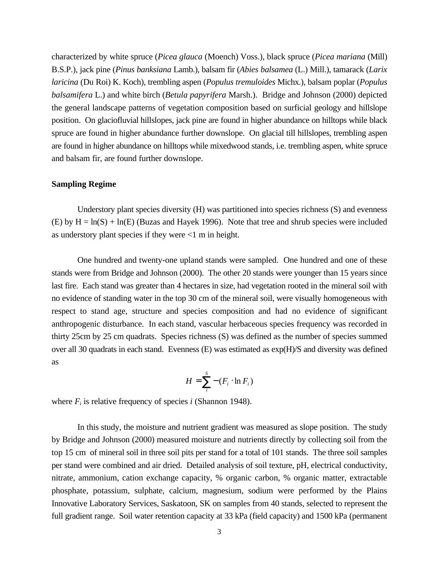characterized by white spruce (*Picea glauca* (Moench) Voss.), black spruce (*Picea mariana* (Mill) B.S.P.), jack pine (*Pinus banksiana* Lamb.), balsam fir (*Abies balsamea* (L.) Mill.), tamarack (*Larix laricina* (Du Roi) K. Koch), trembling aspen (*Populus tremuloides* Michx.), balsam poplar (*Populus balsamifera* L.) and white birch (*Betula papyrifera* Marsh.). Bridge and Johnson (2000) depicted the general landscape patterns of vegetation composition based on surficial geology and hillslope position. On glaciofluvial hillslopes, jack pine are found in higher abundance on hilltops while black spruce are found in higher abundance further downslope. On glacial till hillslopes, trembling aspen are found in higher abundance on hilltops while mixedwood stands, i.e. trembling aspen, white spruce and balsam fir, are found further downslope.

#### **Sampling Regime**

Understory plant species diversity (H) was partitioned into species richness (S) and evenness (E) by  $H = ln(S) + ln(E)$  (Buzas and Hayek 1996). Note that tree and shrub species were included as understory plant species if they were <1 m in height.

One hundred and twenty-one upland stands were sampled. One hundred and one of these stands were from Bridge and Johnson (2000). The other 20 stands were younger than 15 years since last fire. Each stand was greater than 4 hectares in size, had vegetation rooted in the mineral soil with no evidence of standing water in the top 30 cm of the mineral soil, were visually homogeneous with respect to stand age, structure and species composition and had no evidence of significant anthropogenic disturbance. In each stand, vascular herbaceous species frequency was recorded in thirty 25cm by 25 cm quadrats. Species richness (S) was defined as the number of species summed over all 30 quadrats in each stand. Evenness  $(E)$  was estimated as  $exp(H)/S$  and diversity was defined as

$$
H = \sum_{i}^{S} - (F_i \cdot \ln F_i)
$$

where  $F_i$  is relative frequency of species *i* (Shannon 1948).

In this study, the moisture and nutrient gradient was measured as slope position. The study by Bridge and Johnson (2000) measured moisture and nutrients directly by collecting soil from the top 15 cm of mineral soil in three soil pits per stand for a total of 101 stands. The three soil samples per stand were combined and air dried. Detailed analysis of soil texture, pH, electrical conductivity, nitrate, ammonium, cation exchange capacity, % organic carbon, % organic matter, extractable phosphate, potassium, sulphate, calcium, magnesium, sodium were performed by the Plains Innovative Laboratory Services, Saskatoon, SK on samples from 40 stands, selected to represent the full gradient range. Soil water retention capacity at 33 kPa (field capacity) and 1500 kPa (permanent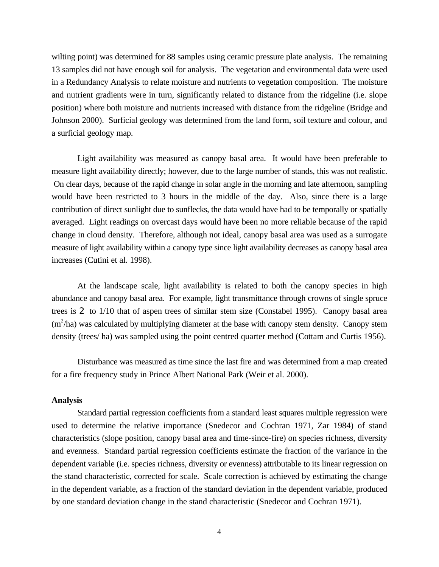wilting point) was determined for 88 samples using ceramic pressure plate analysis. The remaining 13 samples did not have enough soil for analysis. The vegetation and environmental data were used in a Redundancy Analysis to relate moisture and nutrients to vegetation composition. The moisture and nutrient gradients were in turn, significantly related to distance from the ridgeline (i.e. slope position) where both moisture and nutrients increased with distance from the ridgeline (Bridge and Johnson 2000). Surficial geology was determined from the land form, soil texture and colour, and a surficial geology map.

Light availability was measured as canopy basal area. It would have been preferable to measure light availability directly; however, due to the large number of stands, this was not realistic. On clear days, because of the rapid change in solar angle in the morning and late afternoon, sampling would have been restricted to 3 hours in the middle of the day. Also, since there is a large contribution of direct sunlight due to sunflecks, the data would have had to be temporally or spatially averaged. Light readings on overcast days would have been no more reliable because of the rapid change in cloud density. Therefore, although not ideal, canopy basal area was used as a surrogate measure of light availability within a canopy type since light availability decreases as canopy basal area increases (Cutini et al. 1998).

At the landscape scale, light availability is related to both the canopy species in high abundance and canopy basal area. For example, light transmittance through crowns of single spruce trees is 2 to 1/10 that of aspen trees of similar stem size (Constabel 1995). Canopy basal area  $(m<sup>2</sup>/ha)$  was calculated by multiplying diameter at the base with canopy stem density. Canopy stem density (trees/ ha) was sampled using the point centred quarter method (Cottam and Curtis 1956).

Disturbance was measured as time since the last fire and was determined from a map created for a fire frequency study in Prince Albert National Park (Weir et al. 2000).

#### **Analysis**

Standard partial regression coefficients from a standard least squares multiple regression were used to determine the relative importance (Snedecor and Cochran 1971, Zar 1984) of stand characteristics (slope position, canopy basal area and time-since-fire) on species richness, diversity and evenness. Standard partial regression coefficients estimate the fraction of the variance in the dependent variable (i.e. species richness, diversity or evenness) attributable to its linear regression on the stand characteristic, corrected for scale. Scale correction is achieved by estimating the change in the dependent variable, as a fraction of the standard deviation in the dependent variable, produced by one standard deviation change in the stand characteristic (Snedecor and Cochran 1971).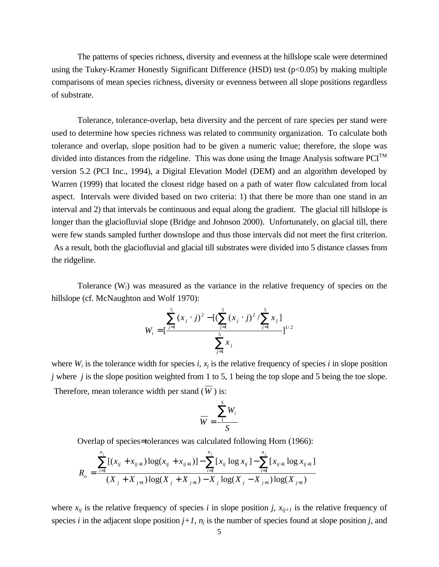The patterns of species richness, diversity and evenness at the hillslope scale were determined using the Tukey-Kramer Honestly Significant Difference (HSD) test ( $p<0.05$ ) by making multiple comparisons of mean species richness, diversity or evenness between all slope positions regardless of substrate.

Tolerance, tolerance-overlap, beta diversity and the percent of rare species per stand were used to determine how species richness was related to community organization. To calculate both tolerance and overlap, slope position had to be given a numeric value; therefore, the slope was divided into distances from the ridgeline. This was done using the Image Analysis software  $PCI^{TM}$ version 5.2 (PCI Inc., 1994), a Digital Elevation Model (DEM) and an algorithm developed by Warren (1999) that located the closest ridge based on a path of water flow calculated from local aspect. Intervals were divided based on two criteria: 1) that there be more than one stand in an interval and 2) that intervals be continuous and equal along the gradient. The glacial till hillslope is longer than the glaciofluvial slope (Bridge and Johnson 2000). Unfortunately, on glacial till, there were few stands sampled further downslope and thus those intervals did not meet the first criterion. As a result, both the glaciofluvial and glacial till substrates were divided into 5 distance classes from the ridgeline.

Tolerance  $(W<sub>i</sub>)$  was measured as the variance in the relative frequency of species on the hillslope (cf. McNaughton and Wolf 1970):

$$
W_{i} = \left[\frac{\sum_{j=1}^{5} (x_{j} \cdot j)^{2} - \left[\left(\sum_{j=1}^{5} (x_{j} \cdot j)^{2} / \sum_{j=1}^{5} x_{j}\right)\right]}{\sum_{j=1}^{5} x_{j}}\right]^{1/2}
$$

where  $W_i$  is the tolerance width for species *i*,  $x_i$  is the relative frequency of species *i* in slope position *j* where *j* is the slope position weighted from 1 to 5, 1 being the top slope and 5 being the toe slope. Therefore, mean tolerance width per stand  $(\overline{W})$  is:

$$
\overline{W} = \frac{\sum_{i=1}^{S} W_i}{S}
$$

Overlap of species= tolerances was calculated following Horn (1966):

$$
R_o = \frac{\sum_{i=1}^{n_j} [(x_{ij} + x_{ij+1}) \log(x_{ij} + x_{ij+1})] - \sum_{i=1}^{n_j} [x_{ij} \log x_{ij}] - \sum_{i=1}^{n_j} [x_{ij+1} \log x_{ij+1}]}{(X_j + X_{j+1}) \log(X_j + X_{j+1}) - X_j \log(X_j - X_{j+1}) \log(X_{j+1})}
$$

where  $x_{ij}$  is the relative frequency of species *i* in slope position *j*,  $x_{ij+1}$  is the relative frequency of species *i* in the adjacent slope position  $j+1$ ,  $n_j$  is the number of species found at slope position *j*, and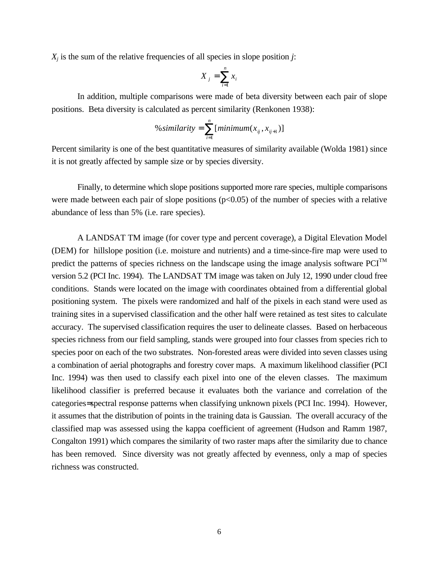$X_i$  is the sum of the relative frequencies of all species in slope position *j*:

$$
X_j = \sum_{i=1}^n x_i
$$

In addition, multiple comparisons were made of beta diversity between each pair of slope positions. Beta diversity is calculated as percent similarity (Renkonen 1938):

% similarity = 
$$
\sum_{i=1}^{n} [minimum(x_{ij}, x_{ij+1})]
$$

Percent similarity is one of the best quantitative measures of similarity available (Wolda 1981) since it is not greatly affected by sample size or by species diversity.

Finally, to determine which slope positions supported more rare species, multiple comparisons were made between each pair of slope positions ( $p<0.05$ ) of the number of species with a relative abundance of less than 5% (i.e. rare species).

A LANDSAT TM image (for cover type and percent coverage), a Digital Elevation Model (DEM) for hillslope position (i.e. moisture and nutrients) and a time-since-fire map were used to predict the patterns of species richness on the landscape using the image analysis software  $PCI^{TM}$ version 5.2 (PCI Inc. 1994). The LANDSAT TM image was taken on July 12, 1990 under cloud free conditions. Stands were located on the image with coordinates obtained from a differential global positioning system. The pixels were randomized and half of the pixels in each stand were used as training sites in a supervised classification and the other half were retained as test sites to calculate accuracy. The supervised classification requires the user to delineate classes. Based on herbaceous species richness from our field sampling, stands were grouped into four classes from species rich to species poor on each of the two substrates. Non-forested areas were divided into seven classes using a combination of aerial photographs and forestry cover maps. A maximum likelihood classifier (PCI Inc. 1994) was then used to classify each pixel into one of the eleven classes. The maximum likelihood classifier is preferred because it evaluates both the variance and correlation of the categories= spectral response patterns when classifying unknown pixels (PCI Inc. 1994). However, it assumes that the distribution of points in the training data is Gaussian. The overall accuracy of the classified map was assessed using the kappa coefficient of agreement (Hudson and Ramm 1987, Congalton 1991) which compares the similarity of two raster maps after the similarity due to chance has been removed. Since diversity was not greatly affected by evenness, only a map of species richness was constructed.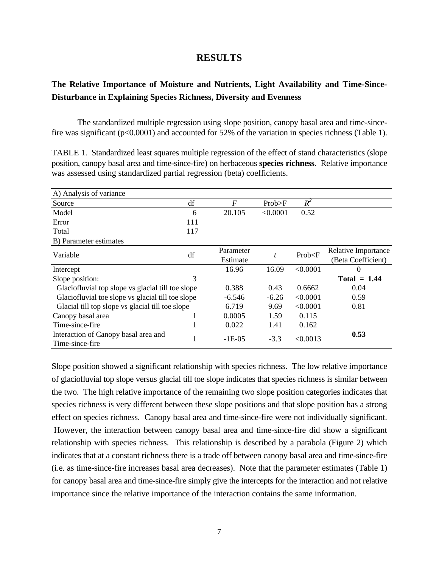# **RESULTS**

# **The Relative Importance of Moisture and Nutrients, Light Availability and Time-Since-Disturbance in Explaining Species Richness, Diversity and Evenness**

The standardized multiple regression using slope position, canopy basal area and time-sincefire was significant (p<0.0001) and accounted for 52% of the variation in species richness (Table 1).

TABLE 1. Standardized least squares multiple regression of the effect of stand characteristics (slope position, canopy basal area and time-since-fire) on herbaceous **species richness**. Relative importance was assessed using standardized partial regression (beta) coefficients.

| A) Analysis of variance                           |     |           |                  |          |                     |
|---------------------------------------------------|-----|-----------|------------------|----------|---------------------|
| Source                                            | df  | $\bm{F}$  | Prob>F           | $R^2$    |                     |
| Model                                             | 6   | 20.105    | < 0.0001         | 0.52     |                     |
| Error                                             | 111 |           |                  |          |                     |
| Total                                             | 117 |           |                  |          |                     |
| B) Parameter estimates                            |     |           |                  |          |                     |
| Variable                                          | df  | Parameter |                  | Prob < F | Relative Importance |
|                                                   |     | Estimate  | $\boldsymbol{t}$ |          | (Beta Coefficient)  |
| Intercept                                         |     | 16.96     | 16.09            | < 0.0001 | $\Omega$            |
| Slope position:                                   | 3   |           |                  |          | $Total = 1.44$      |
| Glaciofluvial top slope vs glacial till toe slope |     | 0.388     | 0.43             | 0.6662   | 0.04                |
| Glaciofluvial toe slope vs glacial till toe slope |     | $-6.546$  | $-6.26$          | < 0.0001 | 0.59                |
| Glacial till top slope vs glacial till toe slope  |     | 6.719     | 9.69             | < 0.0001 | 0.81                |
| Canopy basal area                                 |     | 0.0005    | 1.59             | 0.115    |                     |
| Time-since-fire                                   |     | 0.022     | 1.41             | 0.162    |                     |
| Interaction of Canopy basal area and              |     | $-1E-0.5$ | $-3.3$           | < 0.0013 | 0.53                |
| Time-since-fire                                   |     |           |                  |          |                     |

Slope position showed a significant relationship with species richness. The low relative importance of glaciofluvial top slope versus glacial till toe slope indicates that species richness is similar between the two. The high relative importance of the remaining two slope position categories indicates that species richness is very different between these slope positions and that slope position has a strong effect on species richness. Canopy basal area and time-since-fire were not individually significant. However, the interaction between canopy basal area and time-since-fire did show a significant relationship with species richness. This relationship is described by a parabola (Figure 2) which indicates that at a constant richness there is a trade off between canopy basal area and time-since-fire (i.e. as time-since-fire increases basal area decreases). Note that the parameter estimates (Table 1) for canopy basal area and time-since-fire simply give the intercepts for the interaction and not relative importance since the relative importance of the interaction contains the same information.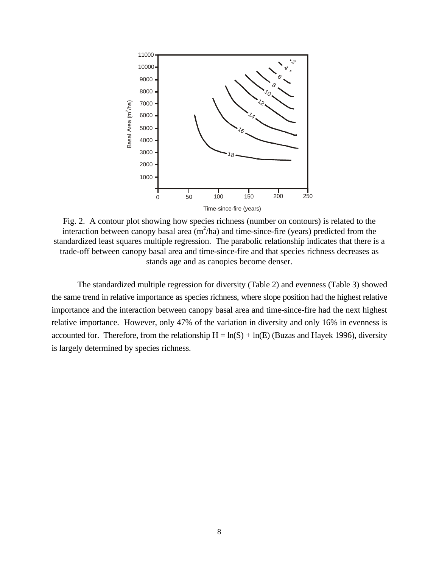

Fig. 2. A contour plot showing how species richness (number on contours) is related to the interaction between canopy basal area  $(m^2/ha)$  and time-since-fire (years) predicted from the standardized least squares multiple regression. The parabolic relationship indicates that there is a trade-off between canopy basal area and time-since-fire and that species richness decreases as stands age and as canopies become denser.

The standardized multiple regression for diversity (Table 2) and evenness (Table 3) showed the same trend in relative importance as species richness, where slope position had the highest relative importance and the interaction between canopy basal area and time-since-fire had the next highest relative importance. However, only 47% of the variation in diversity and only 16% in evenness is accounted for. Therefore, from the relationship  $H = ln(S) + ln(E)$  (Buzas and Hayek 1996), diversity is largely determined by species richness.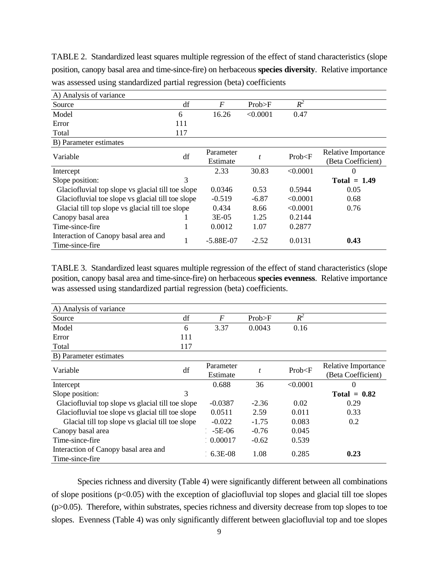TABLE 2. Standardized least squares multiple regression of the effect of stand characteristics (slope position, canopy basal area and time-since-fire) on herbaceous **species diversity**. Relative importance was assessed using standardized partial regression (beta) coefficients

| A) Analysis of variance                           |         |                |              |                    |                     |
|---------------------------------------------------|---------|----------------|--------------|--------------------|---------------------|
| Source                                            | df      | $\overline{F}$ | Prob>F       | $R^2$              |                     |
| Model                                             | 6       | 16.26          | < 0.0001     | 0.47               |                     |
| Error                                             | 111     |                |              |                    |                     |
| Total                                             | 117     |                |              |                    |                     |
| B) Parameter estimates                            |         |                |              |                    |                     |
|                                                   |         | Parameter      |              |                    | Relative Importance |
|                                                   |         | Estimate       |              |                    | (Beta Coefficient)  |
| Intercept                                         |         | 2.33           | 30.83        | < 0.0001           | $\theta$            |
| Slope position:                                   | 3       |                |              |                    | $Total = 1.49$      |
| Glaciofluvial top slope vs glacial till toe slope |         | 0.0346         | 0.53         | 0.5944             | 0.05                |
| Glaciofluvial toe slope vs glacial till toe slope |         | $-0.519$       | $-6.87$      | < 0.0001           | 0.68                |
| Glacial till top slope vs glacial till toe slope  |         | 0.434          | 8.66         | < 0.0001           | 0.76                |
| Canopy basal area                                 |         | $3E-0.5$       | 1.25         | 0.2144             |                     |
| Time-since-fire                                   |         | 0.0012         | 1.07         | 0.2877             |                     |
| Interaction of Canopy basal area and              |         |                |              |                    |                     |
| Time-since-fire                                   |         |                |              |                    |                     |
| Variable                                          | df<br>1 | $-5.88E-07$    | t<br>$-2.52$ | Prob < F<br>0.0131 | 0.43                |

TABLE 3. Standardized least squares multiple regression of the effect of stand characteristics (slope position, canopy basal area and time-since-fire) on herbaceous **species evenness**. Relative importance was assessed using standardized partial regression (beta) coefficients.

| df                                                | $\boldsymbol{F}$ | Prob>F                  | $R^2$     |                     |
|---------------------------------------------------|------------------|-------------------------|-----------|---------------------|
| 6                                                 | 3.37             | 0.0043                  | 0.16      |                     |
| 111                                               |                  |                         |           |                     |
| 117                                               |                  |                         |           |                     |
|                                                   |                  |                         |           |                     |
|                                                   | Parameter        |                         |           | Relative Importance |
|                                                   | Estimate         |                         |           | (Beta Coefficient)  |
|                                                   | 0.688            | 36                      | < 0.0001  | $\Omega$            |
| 3                                                 |                  |                         |           | $Total = 0.82$      |
| Glaciofluvial top slope vs glacial till toe slope |                  | $-2.36$                 | 0.02      | 0.29                |
| Glaciofluvial to eslope vs glacial till to eslope | 0.0511           | 2.59                    | 0.011     | 0.33                |
| Glacial till top slope vs glacial till toe slope  | $-0.022$         | $-1.75$                 | 0.083     | 0.2                 |
|                                                   | $-5E-06$         | $-0.76$                 | 0.045     |                     |
|                                                   | 10.00017         | $-0.62$                 | 0.539     |                     |
| Interaction of Canopy basal area and              |                  |                         |           | 0.23                |
|                                                   |                  |                         |           |                     |
|                                                   | df               | $-0.0387$<br>$16.3E-08$ | t<br>1.08 | Prob < F<br>0.285   |

Species richness and diversity (Table 4) were significantly different between all combinations of slope positions  $(p<0.05)$  with the exception of glaciofluvial top slopes and glacial till toe slopes (p>0.05). Therefore, within substrates, species richness and diversity decrease from top slopes to toe slopes. Evenness (Table 4) was only significantly different between glaciofluvial top and toe slopes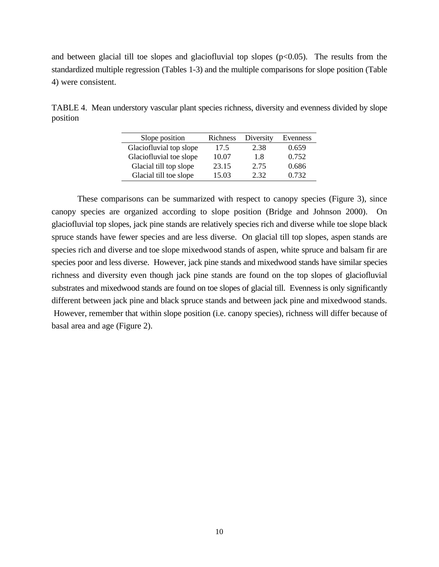and between glacial till toe slopes and glaciofluvial top slopes  $(p<0.05)$ . The results from the standardized multiple regression (Tables 1-3) and the multiple comparisons for slope position (Table 4) were consistent.

TABLE 4. Mean understory vascular plant species richness, diversity and evenness divided by slope position

| Slope position          | Richness | Diversity | Evenness |
|-------------------------|----------|-----------|----------|
| Glaciofluvial top slope | 17.5     | 2.38      | 0.659    |
| Glaciofluvial toe slope | 10.07    | 1.8       | 0.752    |
| Glacial till top slope  | 23.15    | 2.75      | 0.686    |
| Glacial till toe slope  | 15.03    | 2.32      | 0.732    |

These comparisons can be summarized with respect to canopy species (Figure 3), since canopy species are organized according to slope position (Bridge and Johnson 2000). On glaciofluvial top slopes, jack pine stands are relatively species rich and diverse while toe slope black spruce stands have fewer species and are less diverse. On glacial till top slopes, aspen stands are species rich and diverse and toe slope mixedwood stands of aspen, white spruce and balsam fir are species poor and less diverse. However, jack pine stands and mixedwood stands have similar species richness and diversity even though jack pine stands are found on the top slopes of glaciofluvial substrates and mixedwood stands are found on toe slopes of glacial till. Evenness is only significantly different between jack pine and black spruce stands and between jack pine and mixedwood stands. However, remember that within slope position (i.e. canopy species), richness will differ because of basal area and age (Figure 2).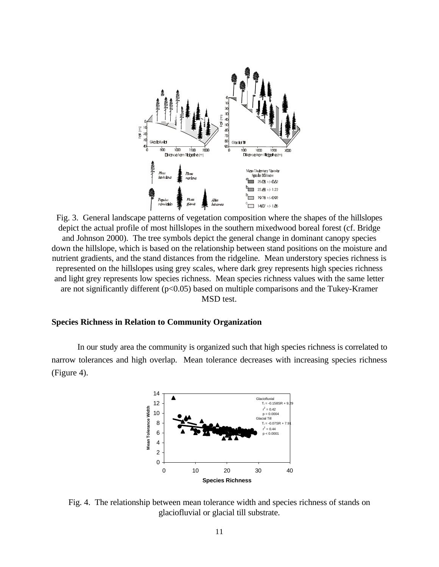

Fig. 3. General landscape patterns of vegetation composition where the shapes of the hillslopes depict the actual profile of most hillslopes in the southern mixedwood boreal forest (cf. Bridge and Johnson 2000). The tree symbols depict the general change in dominant canopy species down the hillslope, which is based on the relationship between stand positions on the moisture and nutrient gradients, and the stand distances from the ridgeline. Mean understory species richness is represented on the hillslopes using grey scales, where dark grey represents high species richness and light grey represents low species richness. Mean species richness values with the same letter are not significantly different  $(p<0.05)$  based on multiple comparisons and the Tukey-Kramer MSD test.

#### **Species Richness in Relation to Community Organization**

In our study area the community is organized such that high species richness is correlated to narrow tolerances and high overlap. Mean tolerance decreases with increasing species richness (Figure 4).



Fig. 4. The relationship between mean tolerance width and species richness of stands on glaciofluvial or glacial till substrate.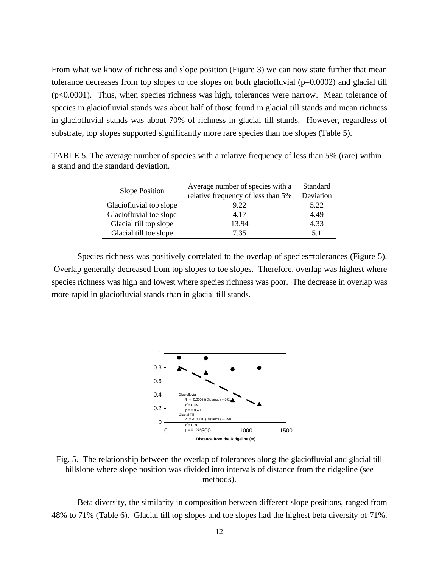From what we know of richness and slope position (Figure 3) we can now state further that mean tolerance decreases from top slopes to toe slopes on both glaciofluvial (p=0.0002) and glacial till (p<0.0001). Thus, when species richness was high, tolerances were narrow. Mean tolerance of species in glaciofluvial stands was about half of those found in glacial till stands and mean richness in glaciofluvial stands was about 70% of richness in glacial till stands. However, regardless of substrate, top slopes supported significantly more rare species than toe slopes (Table 5).

| <b>Slope Position</b>   | Average number of species with a   | Standard  |
|-------------------------|------------------------------------|-----------|
|                         | relative frequency of less than 5% | Deviation |
| Glaciofluvial top slope | 9.22                               | 5.22      |
| Glaciofluvial toe slope | 4.17                               | 4.49      |
| Glacial till top slope  | 13.94                              | 4.33      |
| Glacial till toe slope  | 735                                | 51        |

TABLE 5. The average number of species with a relative frequency of less than 5% (rare) within a stand and the standard deviation.

Species richness was positively correlated to the overlap of species= tolerances (Figure 5). Overlap generally decreased from top slopes to toe slopes. Therefore, overlap was highest where species richness was high and lowest where species richness was poor. The decrease in overlap was more rapid in glaciofluvial stands than in glacial till stands.



Fig. 5. The relationship between the overlap of tolerances along the glaciofluvial and glacial till hillslope where slope position was divided into intervals of distance from the ridgeline (see methods).

Beta diversity, the similarity in composition between different slope positions, ranged from 48% to 71% (Table 6). Glacial till top slopes and toe slopes had the highest beta diversity of 71%.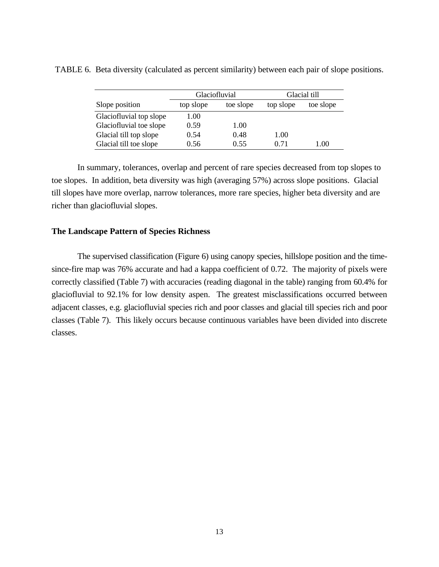|                         | Glaciofluvial |           |           | Glacial till |
|-------------------------|---------------|-----------|-----------|--------------|
| Slope position          | top slope     | toe slope | top slope | toe slope    |
| Glaciofluvial top slope | 1.00          |           |           |              |
| Glaciofluvial toe slope | 0.59          | 1.00      |           |              |
| Glacial till top slope  | 0.54          | 0.48      | 1.00      |              |
| Glacial till toe slope  | 0.56          | 0.55      | 0.71      | 1.00         |

TABLE 6. Beta diversity (calculated as percent similarity) between each pair of slope positions.

In summary, tolerances, overlap and percent of rare species decreased from top slopes to toe slopes. In addition, beta diversity was high (averaging 57%) across slope positions. Glacial till slopes have more overlap, narrow tolerances, more rare species, higher beta diversity and are richer than glaciofluvial slopes.

#### **The Landscape Pattern of Species Richness**

The supervised classification (Figure 6) using canopy species, hillslope position and the timesince-fire map was 76% accurate and had a kappa coefficient of 0.72. The majority of pixels were correctly classified (Table 7) with accuracies (reading diagonal in the table) ranging from 60.4% for glaciofluvial to 92.1% for low density aspen. The greatest misclassifications occurred between adjacent classes, e.g. glaciofluvial species rich and poor classes and glacial till species rich and poor classes (Table 7). This likely occurs because continuous variables have been divided into discrete classes.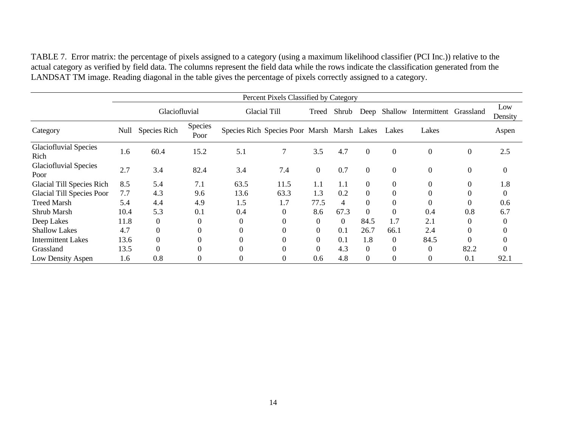TABLE 7. Error matrix: the percentage of pixels assigned to a category (using a maximum likelihood classifier (PCI Inc.)) relative to the actual category as verified by field data. The columns represent the field data while the rows indicate the classification generated from the LANDSAT TM image. Reading diagonal in the table gives the percentage of pixels correctly assigned to a category.

|                                      |      | Percent Pixels Classified by Category |                        |          |                                             |                |          |                |                |                                     |                |                |
|--------------------------------------|------|---------------------------------------|------------------------|----------|---------------------------------------------|----------------|----------|----------------|----------------|-------------------------------------|----------------|----------------|
|                                      |      | Glaciofluvial                         |                        |          | <b>Glacial Till</b>                         | Treed          | Shrub    |                |                | Deep Shallow Intermittent Grassland |                | Low<br>Density |
| Category                             | Null | <b>Species Rich</b>                   | <b>Species</b><br>Poor |          | Species Rich Species Poor Marsh Marsh Lakes |                |          |                | Lakes          | Lakes                               |                | Aspen          |
| <b>Glaciofluvial Species</b><br>Rich | 1.6  | 60.4                                  | 15.2                   | 5.1      | 7                                           | 3.5            | 4.7      | $\overline{0}$ | $\mathbf{0}$   | $\theta$                            | $\overline{0}$ | 2.5            |
| <b>Glaciofluvial Species</b><br>Poor | 2.7  | 3.4                                   | 82.4                   | 3.4      | 7.4                                         | $\overline{0}$ | 0.7      | $\mathbf{0}$   | $\overline{0}$ | $\mathbf{0}$                        | $\mathbf{0}$   | $\mathbf{0}$   |
| <b>Glacial Till Species Rich</b>     | 8.5  | 5.4                                   | 7.1                    | 63.5     | 11.5                                        | 1.1            | 1.1      | $\mathbf{0}$   | $\theta$       | $\Omega$                            | $\Omega$       | 1.8            |
| <b>Glacial Till Species Poor</b>     | 7.7  | 4.3                                   | 9.6                    | 13.6     | 63.3                                        | 1.3            | 0.2      | $\Omega$       | $\Omega$       | O                                   |                | $\Omega$       |
| <b>Treed Marsh</b>                   | 5.4  | 4.4                                   | 4.9                    | 1.5      | 1.7                                         | 77.5           | 4        | $\Omega$       | $\Omega$       |                                     |                | 0.6            |
| Shrub Marsh                          | 10.4 | 5.3                                   | 0.1                    | 0.4      | $\Omega$                                    | 8.6            | 67.3     | $\Omega$       | $\Omega$       | 0.4                                 | 0.8            | 6.7            |
| Deep Lakes                           | 11.8 | $\Omega$                              | $\Omega$               | $\theta$ | $\Omega$                                    | $\Omega$       | $\theta$ | 84.5           | 1.7            | 2.1                                 |                | $\theta$       |
| <b>Shallow Lakes</b>                 | 4.7  | $\Omega$                              | $\Omega$               | 0        | $\Omega$                                    | $\Omega$       | 0.1      | 26.7           | 66.1           | 2.4                                 | $\theta$       | $\Omega$       |
| Intermittent Lakes                   | 13.6 | $\theta$                              | $\Omega$               | 0        | $\Omega$                                    | $\Omega$       | 0.1      | 1.8            | $\theta$       | 84.5                                |                | $\Omega$       |
| Grassland                            | 13.5 | $\Omega$                              | $\Omega$               | $\theta$ | $\Omega$                                    | $\Omega$       | 4.3      | $\theta$       | $\theta$       | $\Omega$                            | 82.2           | $\Omega$       |
| Low Density Aspen                    | 1.6  | 0.8                                   | $\Omega$               | $\Omega$ | $\theta$                                    | 0.6            | 4.8      | $\theta$       | $\theta$       | $\Omega$                            | 0.1            | 92.1           |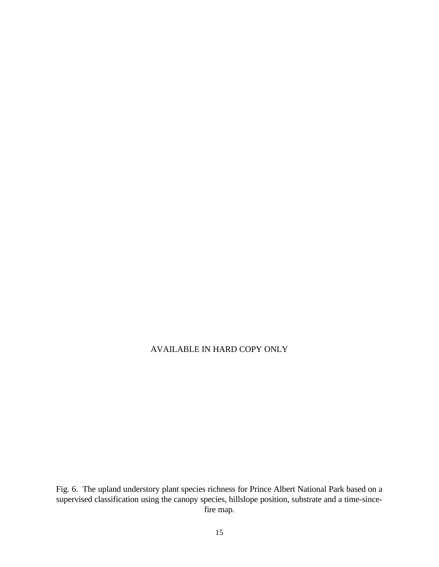# AVAILABLE IN HARD COPY ONLY

Fig. 6. The upland understory plant species richness for Prince Albert National Park based on a supervised classification using the canopy species, hillslope position, substrate and a time-sincefire map.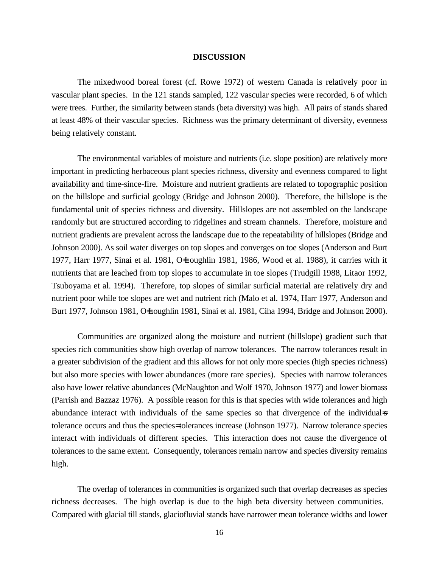#### **DISCUSSION**

The mixedwood boreal forest (cf. Rowe 1972) of western Canada is relatively poor in vascular plant species. In the 121 stands sampled, 122 vascular species were recorded, 6 of which were trees. Further, the similarity between stands (beta diversity) was high. All pairs of stands shared at least 48% of their vascular species. Richness was the primary determinant of diversity, evenness being relatively constant.

The environmental variables of moisture and nutrients (i.e. slope position) are relatively more important in predicting herbaceous plant species richness, diversity and evenness compared to light availability and time-since-fire. Moisture and nutrient gradients are related to topographic position on the hillslope and surficial geology (Bridge and Johnson 2000). Therefore, the hillslope is the fundamental unit of species richness and diversity. Hillslopes are not assembled on the landscape randomly but are structured according to ridgelines and stream channels. Therefore, moisture and nutrient gradients are prevalent across the landscape due to the repeatability of hillslopes (Bridge and Johnson 2000). As soil water diverges on top slopes and converges on toe slopes (Anderson and Burt 1977, Harr 1977, Sinai et al. 1981, O-Loughlin 1981, 1986, Wood et al. 1988), it carries with it nutrients that are leached from top slopes to accumulate in toe slopes (Trudgill 1988, Litaor 1992, Tsuboyama et al. 1994). Therefore, top slopes of similar surficial material are relatively dry and nutrient poor while toe slopes are wet and nutrient rich (Malo et al. 1974, Harr 1977, Anderson and Burt 1977, Johnson 1981, O-Loughlin 1981, Sinai et al. 1981, Ciha 1994, Bridge and Johnson 2000).

Communities are organized along the moisture and nutrient (hillslope) gradient such that species rich communities show high overlap of narrow tolerances. The narrow tolerances result in a greater subdivision of the gradient and this allows for not only more species (high species richness) but also more species with lower abundances (more rare species). Species with narrow tolerances also have lower relative abundances (McNaughton and Wolf 1970, Johnson 1977) and lower biomass (Parrish and Bazzaz 1976). A possible reason for this is that species with wide tolerances and high abundance interact with individuals of the same species so that divergence of the individual-s tolerance occurs and thus the species= tolerances increase (Johnson 1977). Narrow tolerance species interact with individuals of different species. This interaction does not cause the divergence of tolerances to the same extent. Consequently, tolerances remain narrow and species diversity remains high.

The overlap of tolerances in communities is organized such that overlap decreases as species richness decreases. The high overlap is due to the high beta diversity between communities. Compared with glacial till stands, glaciofluvial stands have narrower mean tolerance widths and lower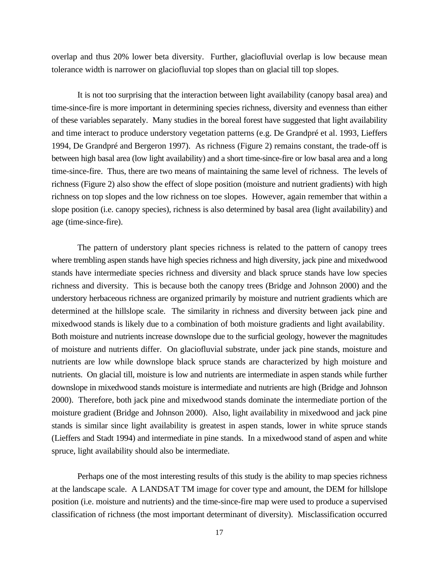overlap and thus 20% lower beta diversity. Further, glaciofluvial overlap is low because mean tolerance width is narrower on glaciofluvial top slopes than on glacial till top slopes.

It is not too surprising that the interaction between light availability (canopy basal area) and time-since-fire is more important in determining species richness, diversity and evenness than either of these variables separately. Many studies in the boreal forest have suggested that light availability and time interact to produce understory vegetation patterns (e.g. De Grandpré et al. 1993, Lieffers 1994, De Grandpré and Bergeron 1997). As richness (Figure 2) remains constant, the trade-off is between high basal area (low light availability) and a short time-since-fire or low basal area and a long time-since-fire. Thus, there are two means of maintaining the same level of richness. The levels of richness (Figure 2) also show the effect of slope position (moisture and nutrient gradients) with high richness on top slopes and the low richness on toe slopes. However, again remember that within a slope position (i.e. canopy species), richness is also determined by basal area (light availability) and age (time-since-fire).

The pattern of understory plant species richness is related to the pattern of canopy trees where trembling aspen stands have high species richness and high diversity, jack pine and mixedwood stands have intermediate species richness and diversity and black spruce stands have low species richness and diversity. This is because both the canopy trees (Bridge and Johnson 2000) and the understory herbaceous richness are organized primarily by moisture and nutrient gradients which are determined at the hillslope scale. The similarity in richness and diversity between jack pine and mixedwood stands is likely due to a combination of both moisture gradients and light availability. Both moisture and nutrients increase downslope due to the surficial geology, however the magnitudes of moisture and nutrients differ. On glaciofluvial substrate, under jack pine stands, moisture and nutrients are low while downslope black spruce stands are characterized by high moisture and nutrients. On glacial till, moisture is low and nutrients are intermediate in aspen stands while further downslope in mixedwood stands moisture is intermediate and nutrients are high (Bridge and Johnson 2000). Therefore, both jack pine and mixedwood stands dominate the intermediate portion of the moisture gradient (Bridge and Johnson 2000). Also, light availability in mixedwood and jack pine stands is similar since light availability is greatest in aspen stands, lower in white spruce stands (Lieffers and Stadt 1994) and intermediate in pine stands. In a mixedwood stand of aspen and white spruce, light availability should also be intermediate.

Perhaps one of the most interesting results of this study is the ability to map species richness at the landscape scale. A LANDSAT TM image for cover type and amount, the DEM for hillslope position (i.e. moisture and nutrients) and the time-since-fire map were used to produce a supervised classification of richness (the most important determinant of diversity). Misclassification occurred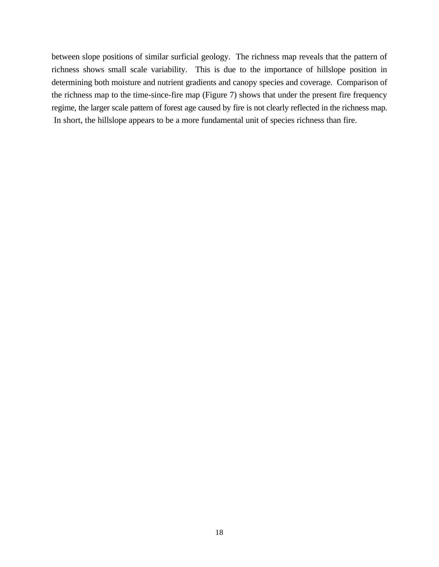between slope positions of similar surficial geology. The richness map reveals that the pattern of richness shows small scale variability. This is due to the importance of hillslope position in determining both moisture and nutrient gradients and canopy species and coverage. Comparison of the richness map to the time-since-fire map (Figure 7) shows that under the present fire frequency regime, the larger scale pattern of forest age caused by fire is not clearly reflected in the richness map. In short, the hillslope appears to be a more fundamental unit of species richness than fire.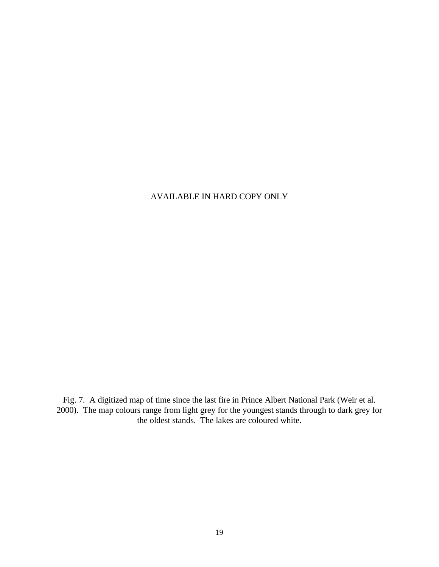# AVAILABLE IN HARD COPY ONLY

Fig. 7. A digitized map of time since the last fire in Prince Albert National Park (Weir et al. 2000). The map colours range from light grey for the youngest stands through to dark grey for the oldest stands. The lakes are coloured white.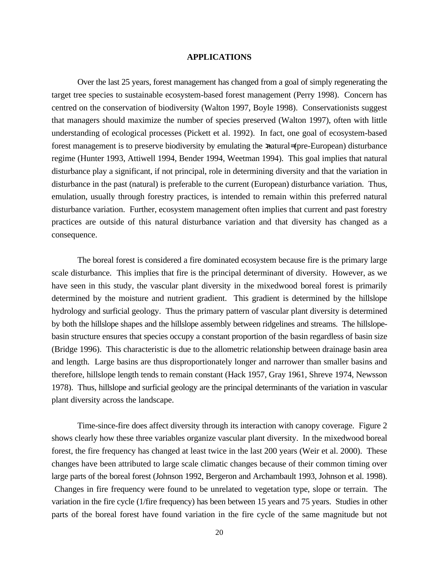#### **APPLICATIONS**

Over the last 25 years, forest management has changed from a goal of simply regenerating the target tree species to sustainable ecosystem-based forest management (Perry 1998). Concern has centred on the conservation of biodiversity (Walton 1997, Boyle 1998). Conservationists suggest that managers should maximize the number of species preserved (Walton 1997), often with little understanding of ecological processes (Pickett et al. 1992). In fact, one goal of ecosystem-based forest management is to preserve biodiversity by emulating the matural= (pre-European) disturbance regime (Hunter 1993, Attiwell 1994, Bender 1994, Weetman 1994). This goal implies that natural disturbance play a significant, if not principal, role in determining diversity and that the variation in disturbance in the past (natural) is preferable to the current (European) disturbance variation. Thus, emulation, usually through forestry practices, is intended to remain within this preferred natural disturbance variation. Further, ecosystem management often implies that current and past forestry practices are outside of this natural disturbance variation and that diversity has changed as a consequence.

The boreal forest is considered a fire dominated ecosystem because fire is the primary large scale disturbance. This implies that fire is the principal determinant of diversity. However, as we have seen in this study, the vascular plant diversity in the mixedwood boreal forest is primarily determined by the moisture and nutrient gradient. This gradient is determined by the hillslope hydrology and surficial geology. Thus the primary pattern of vascular plant diversity is determined by both the hillslope shapes and the hillslope assembly between ridgelines and streams. The hillslopebasin structure ensures that species occupy a constant proportion of the basin regardless of basin size (Bridge 1996). This characteristic is due to the allometric relationship between drainage basin area and length. Large basins are thus disproportionately longer and narrower than smaller basins and therefore, hillslope length tends to remain constant (Hack 1957, Gray 1961, Shreve 1974, Newsson 1978). Thus, hillslope and surficial geology are the principal determinants of the variation in vascular plant diversity across the landscape.

Time-since-fire does affect diversity through its interaction with canopy coverage. Figure 2 shows clearly how these three variables organize vascular plant diversity. In the mixedwood boreal forest, the fire frequency has changed at least twice in the last 200 years (Weir et al. 2000). These changes have been attributed to large scale climatic changes because of their common timing over large parts of the boreal forest (Johnson 1992, Bergeron and Archambault 1993, Johnson et al. 1998). Changes in fire frequency were found to be unrelated to vegetation type, slope or terrain. The variation in the fire cycle (1/fire frequency) has been between 15 years and 75 years. Studies in other parts of the boreal forest have found variation in the fire cycle of the same magnitude but not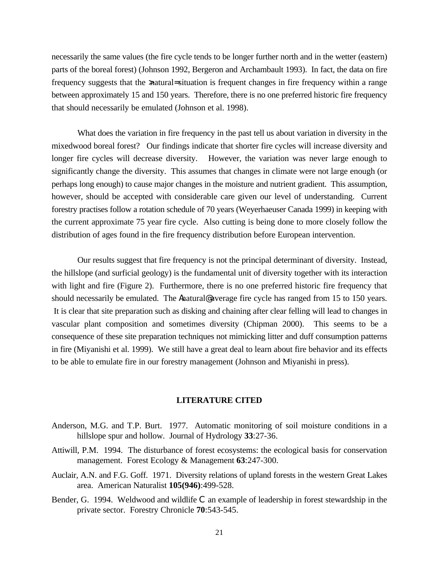necessarily the same values (the fire cycle tends to be longer further north and in the wetter (eastern) parts of the boreal forest) (Johnson 1992, Bergeron and Archambault 1993). In fact, the data on fire frequency suggests that the >natural= situation is frequent changes in fire frequency within a range between approximately 15 and 150 years. Therefore, there is no one preferred historic fire frequency that should necessarily be emulated (Johnson et al. 1998).

What does the variation in fire frequency in the past tell us about variation in diversity in the mixedwood boreal forest? Our findings indicate that shorter fire cycles will increase diversity and longer fire cycles will decrease diversity. However, the variation was never large enough to significantly change the diversity. This assumes that changes in climate were not large enough (or perhaps long enough) to cause major changes in the moisture and nutrient gradient. This assumption, however, should be accepted with considerable care given our level of understanding. Current forestry practises follow a rotation schedule of 70 years (Weyerhaeuser Canada 1999) in keeping with the current approximate 75 year fire cycle. Also cutting is being done to more closely follow the distribution of ages found in the fire frequency distribution before European intervention.

Our results suggest that fire frequency is not the principal determinant of diversity. Instead, the hillslope (and surficial geology) is the fundamental unit of diversity together with its interaction with light and fire (Figure 2). Furthermore, there is no one preferred historic fire frequency that should necessarily be emulated. The Anatural@ average fire cycle has ranged from 15 to 150 years. It is clear that site preparation such as disking and chaining after clear felling will lead to changes in vascular plant composition and sometimes diversity (Chipman 2000). This seems to be a consequence of these site preparation techniques not mimicking litter and duff consumption patterns in fire (Miyanishi et al. 1999). We still have a great deal to learn about fire behavior and its effects to be able to emulate fire in our forestry management (Johnson and Miyanishi in press).

#### **LITERATURE CITED**

- Anderson, M.G. and T.P. Burt. 1977. Automatic monitoring of soil moisture conditions in a hillslope spur and hollow. Journal of Hydrology **33**:27-36.
- Attiwill, P.M. 1994. The disturbance of forest ecosystems: the ecological basis for conservation management. Forest Ecology & Management **63**:247-300.
- Auclair, A.N. and F.G. Goff. 1971. Diversity relations of upland forests in the western Great Lakes area. American Naturalist **105(946)**:499-528.
- Bender, G. 1994. Weldwood and wildlife C an example of leadership in forest stewardship in the private sector. Forestry Chronicle **70**:543-545.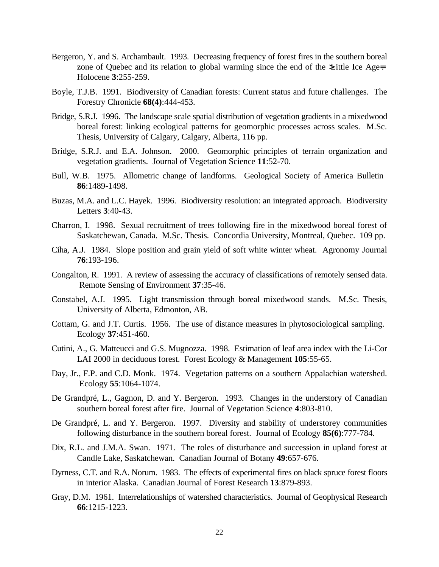- Bergeron, Y. and S. Archambault. 1993. Decreasing frequency of forest fires in the southern boreal zone of Quebec and its relation to global warming since the end of the  $\lambda$  ittle Ice Age=. Holocene **3**:255-259.
- Boyle, T.J.B. 1991. Biodiversity of Canadian forests: Current status and future challenges. The Forestry Chronicle **68(4)**:444-453.
- Bridge, S.R.J. 1996. The landscape scale spatial distribution of vegetation gradients in a mixedwood boreal forest: linking ecological patterns for geomorphic processes across scales. M.Sc. Thesis, University of Calgary, Calgary, Alberta, 116 pp.
- Bridge, S.R.J. and E.A. Johnson. 2000. Geomorphic principles of terrain organization and vegetation gradients. Journal of Vegetation Science **11**:52-70.
- Bull, W.B. 1975. Allometric change of landforms. Geological Society of America Bulletin **86**:1489-1498.
- Buzas, M.A. and L.C. Hayek. 1996. Biodiversity resolution: an integrated approach. Biodiversity Letters **3**:40-43.
- Charron, I. 1998. Sexual recruitment of trees following fire in the mixedwood boreal forest of Saskatchewan, Canada. M.Sc. Thesis. Concordia University, Montreal, Quebec. 109 pp.
- Ciha, A.J. 1984. Slope position and grain yield of soft white winter wheat. Agronomy Journal **76**:193-196.
- Congalton, R. 1991. A review of assessing the accuracy of classifications of remotely sensed data. Remote Sensing of Environment **37**:35-46.
- Constabel, A.J. 1995. Light transmission through boreal mixedwood stands. M.Sc. Thesis, University of Alberta, Edmonton, AB.
- Cottam, G. and J.T. Curtis. 1956. The use of distance measures in phytosociological sampling. Ecology **37**:451-460.
- Cutini, A., G. Matteucci and G.S. Mugnozza. 1998. Estimation of leaf area index with the Li-Cor LAI 2000 in deciduous forest. Forest Ecology & Management **105**:55-65.
- Day, Jr., F.P. and C.D. Monk. 1974. Vegetation patterns on a southern Appalachian watershed. Ecology **55**:1064-1074.
- De Grandpré, L., Gagnon, D. and Y. Bergeron. 1993. Changes in the understory of Canadian southern boreal forest after fire. Journal of Vegetation Science **4**:803-810.
- De Grandpré, L. and Y. Bergeron. 1997. Diversity and stability of understorey communities following disturbance in the southern boreal forest. Journal of Ecology **85(6)**:777-784.
- Dix, R.L. and J.M.A. Swan. 1971. The roles of disturbance and succession in upland forest at Candle Lake, Saskatchewan. Canadian Journal of Botany **49**:657-676.
- Dyrness, C.T. and R.A. Norum. 1983. The effects of experimental fires on black spruce forest floors in interior Alaska. Canadian Journal of Forest Research **13**:879-893.
- Gray, D.M. 1961. Interrelationships of watershed characteristics. Journal of Geophysical Research **66**:1215-1223.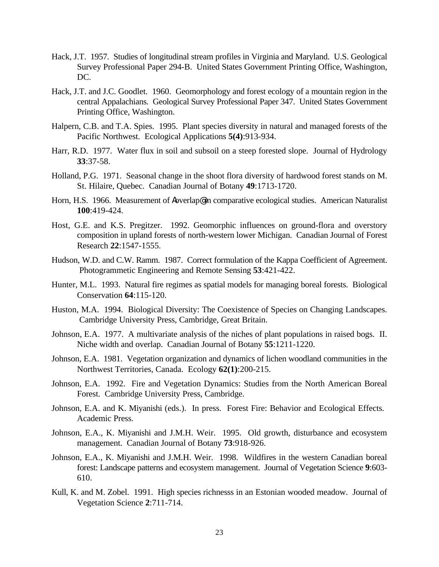- Hack, J.T. 1957. Studies of longitudinal stream profiles in Virginia and Maryland. U.S. Geological Survey Professional Paper 294-B. United States Government Printing Office, Washington, DC.
- Hack, J.T. and J.C. Goodlet. 1960. Geomorphology and forest ecology of a mountain region in the central Appalachians. Geological Survey Professional Paper 347. United States Government Printing Office, Washington.
- Halpern, C.B. and T.A. Spies. 1995. Plant species diversity in natural and managed forests of the Pacific Northwest. Ecological Applications **5(4)**:913-934.
- Harr, R.D. 1977. Water flux in soil and subsoil on a steep forested slope. Journal of Hydrology **33**:37-58.
- Holland, P.G. 1971. Seasonal change in the shoot flora diversity of hardwood forest stands on M. St. Hilaire, Quebec. Canadian Journal of Botany **49**:1713-1720.
- Horn, H.S. 1966. Measurement of Aoverlap@in comparative ecological studies. American Naturalist **100**:419-424.
- Host, G.E. and K.S. Pregitzer. 1992. Geomorphic influences on ground-flora and overstory composition in upland forests of north-western lower Michigan. Canadian Journal of Forest Research **22**:1547-1555.
- Hudson, W.D. and C.W. Ramm. 1987. Correct formulation of the Kappa Coefficient of Agreement. Photogrammetic Engineering and Remote Sensing **53**:421-422.
- Hunter, M.L. 1993. Natural fire regimes as spatial models for managing boreal forests. Biological Conservation **64**:115-120.
- Huston, M.A. 1994. Biological Diversity: The Coexistence of Species on Changing Landscapes. Cambridge University Press, Cambridge, Great Britain.
- Johnson, E.A. 1977. A multivariate analysis of the niches of plant populations in raised bogs. II. Niche width and overlap. Canadian Journal of Botany **55**:1211-1220.
- Johnson, E.A. 1981. Vegetation organization and dynamics of lichen woodland communities in the Northwest Territories, Canada. Ecology **62(1)**:200-215.
- Johnson, E.A. 1992. Fire and Vegetation Dynamics: Studies from the North American Boreal Forest. Cambridge University Press, Cambridge.
- Johnson, E.A. and K. Miyanishi (eds.). In press. Forest Fire: Behavior and Ecological Effects. Academic Press.
- Johnson, E.A., K. Miyanishi and J.M.H. Weir. 1995. Old growth, disturbance and ecosystem management. Canadian Journal of Botany **73**:918-926.
- Johnson, E.A., K. Miyanishi and J.M.H. Weir. 1998. Wildfires in the western Canadian boreal forest: Landscape patterns and ecosystem management. Journal of Vegetation Science **9**:603- 610.
- Kull, K. and M. Zobel. 1991. High species richnesss in an Estonian wooded meadow. Journal of Vegetation Science **2**:711-714.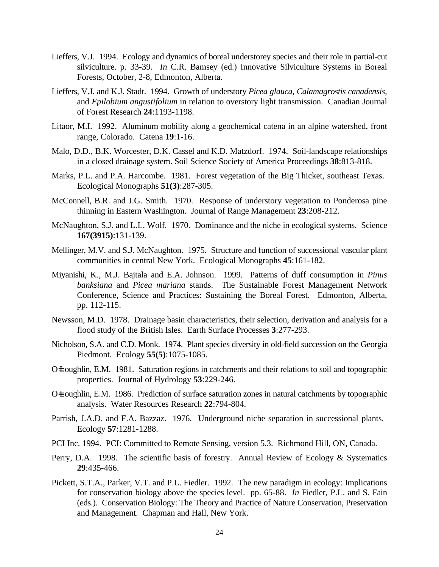- Lieffers, V.J. 1994. Ecology and dynamics of boreal understorey species and their role in partial-cut silviculture. p. 33-39. *In* C.R. Bamsey (ed.) Innovative Silviculture Systems in Boreal Forests, October, 2-8, Edmonton, Alberta.
- Lieffers, V.J. and K.J. Stadt. 1994. Growth of understory *Picea glauca*, *Calamagrostis canadensis*, and *Epilobium angustifolium* in relation to overstory light transmission. Canadian Journal of Forest Research **24**:1193-1198.
- Litaor, M.I. 1992. Aluminum mobility along a geochemical catena in an alpine watershed, front range, Colorado. Catena **19**:1-16.
- Malo, D.D., B.K. Worcester, D.K. Cassel and K.D. Matzdorf. 1974. Soil-landscape relationships in a closed drainage system. Soil Science Society of America Proceedings **38**:813-818.
- Marks, P.L. and P.A. Harcombe. 1981. Forest vegetation of the Big Thicket, southeast Texas. Ecological Monographs **51(3)**:287-305.
- McConnell, B.R. and J.G. Smith. 1970. Response of understory vegetation to Ponderosa pine thinning in Eastern Washington. Journal of Range Management **23**:208-212.
- McNaughton, S.J. and L.L. Wolf. 1970. Dominance and the niche in ecological systems. Science **167(3915)**:131-139.
- Mellinger, M.V. and S.J. McNaughton. 1975. Structure and function of successional vascular plant communities in central New York. Ecological Monographs **45**:161-182.
- Miyanishi, K., M.J. Bajtala and E.A. Johnson. 1999. Patterns of duff consumption in *Pinus banksiana* and *Picea mariana* stands. The Sustainable Forest Management Network Conference, Science and Practices: Sustaining the Boreal Forest. Edmonton, Alberta, pp. 112-115.
- Newsson, M.D. 1978. Drainage basin characteristics, their selection, derivation and analysis for a flood study of the British Isles. Earth Surface Processes **3**:277-293.
- Nicholson, S.A. and C.D. Monk. 1974. Plant species diversity in old-field succession on the Georgia Piedmont. Ecology **55(5)**:1075-1085.
- O $\pm$  Loughlin, E.M. 1981. Saturation regions in catchments and their relations to soil and topographic properties. Journal of Hydrology **53**:229-246.
- O=Loughlin, E.M. 1986. Prediction of surface saturation zones in natural catchments by topographic analysis. Water Resources Research **22**:794-804.
- Parrish, J.A.D. and F.A. Bazzaz. 1976. Underground niche separation in successional plants. Ecology **57**:1281-1288.
- PCI Inc. 1994. PCI: Committed to Remote Sensing, version 5.3. Richmond Hill, ON, Canada.
- Perry, D.A. 1998. The scientific basis of forestry. Annual Review of Ecology & Systematics **29**:435-466.
- Pickett, S.T.A., Parker, V.T. and P.L. Fiedler. 1992. The new paradigm in ecology: Implications for conservation biology above the species level. pp. 65-88. *In* Fiedler, P.L. and S. Fain (eds.). Conservation Biology: The Theory and Practice of Nature Conservation, Preservation and Management. Chapman and Hall, New York.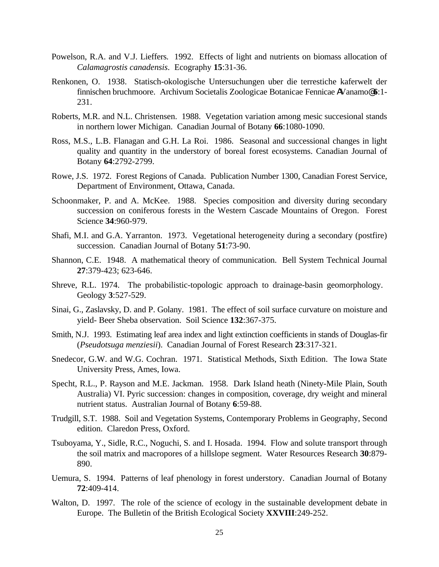- Powelson, R.A. and V.J. Lieffers. 1992. Effects of light and nutrients on biomass allocation of *Calamagrostis canadensis*. Ecography **15**:31-36.
- Renkonen, O. 1938. Statisch-okologische Untersuchungen uber die terrestiche kaferwelt der finnischen bruchmoore. Archivum Societalis Zoologicae Botanicae Fennicae AVanamo@ **6**:1- 231.
- Roberts, M.R. and N.L. Christensen. 1988. Vegetation variation among mesic succesional stands in northern lower Michigan. Canadian Journal of Botany **66**:1080-1090.
- Ross, M.S., L.B. Flanagan and G.H. La Roi. 1986. Seasonal and successional changes in light quality and quantity in the understory of boreal forest ecosystems. Canadian Journal of Botany **64**:2792-2799.
- Rowe, J.S. 1972. Forest Regions of Canada. Publication Number 1300, Canadian Forest Service, Department of Environment, Ottawa, Canada.
- Schoonmaker, P. and A. McKee. 1988. Species composition and diversity during secondary succession on coniferous forests in the Western Cascade Mountains of Oregon. Forest Science **34**:960-979.
- Shafi, M.I. and G.A. Yarranton. 1973. Vegetational heterogeneity during a secondary (postfire) succession. Canadian Journal of Botany **51**:73-90.
- Shannon, C.E. 1948. A mathematical theory of communication. Bell System Technical Journal **27**:379-423; 623-646.
- Shreve, R.L. 1974. The probabilistic-topologic approach to drainage-basin geomorphology. Geology **3**:527-529.
- Sinai, G., Zaslavsky, D. and P. Golany. 1981. The effect of soil surface curvature on moisture and yield- Beer Sheba observation. Soil Science **132**:367-375.
- Smith, N.J. 1993. Estimating leaf area index and light extinction coefficients in stands of Douglas-fir (*Pseudotsuga menziesii*). Canadian Journal of Forest Research **23**:317-321.
- Snedecor, G.W. and W.G. Cochran. 1971. Statistical Methods, Sixth Edition. The Iowa State University Press, Ames, Iowa.
- Specht, R.L., P. Rayson and M.E. Jackman. 1958. Dark Island heath (Ninety-Mile Plain, South Australia) VI. Pyric succession: changes in composition, coverage, dry weight and mineral nutrient status. Australian Journal of Botany **6**:59-88.
- Trudgill, S.T. 1988. Soil and Vegetation Systems, Contemporary Problems in Geography, Second edition. Claredon Press, Oxford.
- Tsuboyama, Y., Sidle, R.C., Noguchi, S. and I. Hosada. 1994. Flow and solute transport through the soil matrix and macropores of a hillslope segment. Water Resources Research **30**:879- 890.
- Uemura, S. 1994. Patterns of leaf phenology in forest understory. Canadian Journal of Botany **72**:409-414.
- Walton, D. 1997. The role of the science of ecology in the sustainable development debate in Europe. The Bulletin of the British Ecological Society **XXVIII**:249-252.